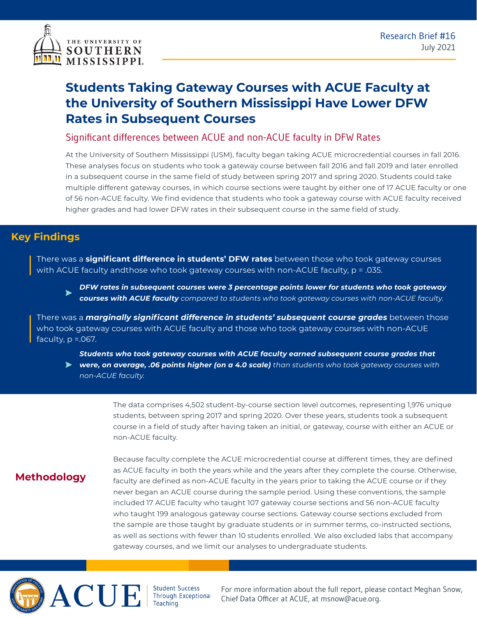

# **Students Taking Gateway Courses with ACUE Faculty at the University of Southern Mississippi Have Lower DFW Rates in Subsequent Courses**

#### Significant differences between ACUE and non-ACUE faculty in DFW Rates

At the University of Southern Mississippi (USM), faculty began taking ACUE microcredential courses in fall 2016. These analyses focus on students who took a gateway course between fall 2016 and fall 2019 and later enrolled in a subsequent course in the same field of study between spring 2017 and spring 2020. Students could take multiple different gateway courses, in which course sections were taught by either one of 17 ACUE faculty or one of 56 non-ACUE faculty. We find evidence that students who took a gateway course with ACUE faculty received higher grades and had lower DFW rates in their subsequent course in the same field of study.

### **Key Findings**

There was a **significant difference in students' DFW rates** between those who took gateway courses with ACUE faculty andthose who took gateway courses with non-ACUE faculty, p = .035.

*DFW rates in subsequent courses were 3 percentage points lower for students who took gateway courses with ACUE faculty compared to students who took gateway courses with non-ACUE faculty.*

There was a *marginally significant difference in students' subsequent course grades* between those who took gateway courses with ACUE faculty and those who took gateway courses with non-ACUE faculty,  $p = 0.067$ .

*Students who took gateway courses with ACUE faculty earned subsequent course grades that* 

*were, on average, .06 points higher (on a 4.0 scale) than students who took gateway courses with non-ACUE faculty.*

> The data comprises 4,502 student-by-course section level outcomes, representing 1,976 unique students, between spring 2017 and spring 2020. Over these years, students took a subsequent course in a field of study after having taken an initial, or gateway, course with either an ACUE or non-ACUE faculty.

## **Methodology**

Because faculty complete the ACUE microcredential course at different times, they are defined as ACUE faculty in both the years while and the years after they complete the course. Otherwise, faculty are defined as non-ACUE faculty in the years prior to taking the ACUE course or if they never began an ACUE course during the sample period. Using these conventions, the sample included 17 ACUE faculty who taught 107 gateway course sections and 56 non-ACUE faculty who taught 199 analogous gateway course sections. Gateway course sections excluded from the sample are those taught by graduate students or in summer terms, co-instructed sections, as well as sections with fewer than 10 students enrolled. We also excluded labs that accompany gateway courses, and we limit our analyses to undergraduate students.



Student Success<br>Through Exceptional Teaching

For more information about the full report, please contact Meghan Snow, Chief Data Officer at ACUE, at msnow@acue.org.